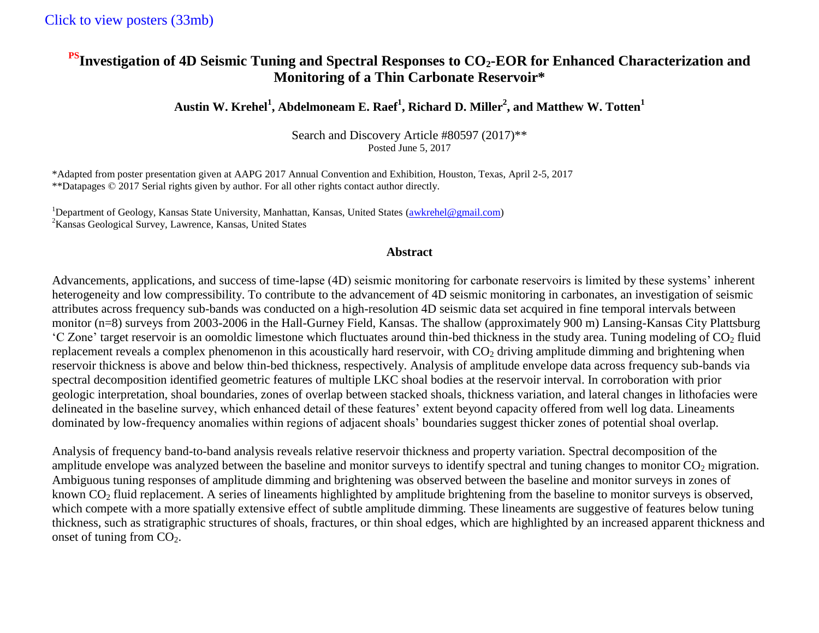## **PSInvestigation of 4D Seismic Tuning and Spectral Responses to CO2-EOR for Enhanced Characterization and Monitoring of a Thin Carbonate Reservoir\***

## **Austin W. Krehel<sup>1</sup> , Abdelmoneam E. Raef<sup>1</sup> , Richard D. Miller<sup>2</sup> , and Matthew W. Totten<sup>1</sup>**

Search and Discovery Article #80597 (2017)\*\* Posted June 5, 2017

\*Adapted from poster presentation given at AAPG 2017 Annual Convention and Exhibition, Houston, Texas, April 2-5, 2017 \*\*Datapages © 2017 Serial rights given by author. For all other rights contact author directly.

<sup>1</sup>Department of Geology, Kansas State University, Manhattan, Kansas, United States (awkrehel@gmail.com) <sup>2</sup>Kansas Geological Survey, Lawrence, Kansas, United States

## **Abstract**

Advancements, applications, and success of time-lapse (4D) seismic monitoring for carbonate reservoirs is limited by these systems' inherent heterogeneity and low compressibility. To contribute to the advancement of 4D seismic monitoring in carbonates, an investigation of seismic attributes across frequency sub-bands was conducted on a high-resolution 4D seismic data set acquired in fine temporal intervals between monitor (n=8) surveys from 2003-2006 in the Hall-Gurney Field, Kansas. The shallow (approximately 900 m) Lansing-Kansas City Plattsburg  $^{\circ}$ C Zone' target reservoir is an oomoldic limestone which fluctuates around thin-bed thickness in the study area. Tuning modeling of CO<sub>2</sub> fluid replacement reveals a complex phenomenon in this acoustically hard reservoir, with  $CO<sub>2</sub>$  driving amplitude dimming and brightening when reservoir thickness is above and below thin-bed thickness, respectively. Analysis of amplitude envelope data across frequency sub-bands via spectral decomposition identified geometric features of multiple LKC shoal bodies at the reservoir interval. In corroboration with prior geologic interpretation, shoal boundaries, zones of overlap between stacked shoals, thickness variation, and lateral changes in lithofacies were delineated in the baseline survey, which enhanced detail of these features' extent beyond capacity offered from well log data. Lineaments dominated by low-frequency anomalies within regions of adjacent shoals' boundaries suggest thicker zones of potential shoal overlap.

Analysis of frequency band-to-band analysis reveals relative reservoir thickness and property variation. Spectral decomposition of the amplitude envelope was analyzed between the baseline and monitor surveys to identify spectral and tuning changes to monitor  $CO<sub>2</sub>$  migration. Ambiguous tuning responses of amplitude dimming and brightening was observed between the baseline and monitor surveys in zones of known  $CO<sub>2</sub>$  fluid replacement. A series of lineaments highlighted by amplitude brightening from the baseline to monitor surveys is observed, which compete with a more spatially extensive effect of subtle amplitude dimming. These lineaments are suggestive of features below tuning thickness, such as stratigraphic structures of shoals, fractures, or thin shoal edges, which are highlighted by an increased apparent thickness and onset of tuning from  $CO<sub>2</sub>$ .